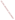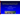## Emerging Issues About Biofuels Under EPA's Emergency Response Program

**Greg Wilson** U.S. EPA - Office of Emergency Management Washington, DC 20460 wilson.gregory@epa.gov

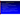### Presentation Overview

#### Legislative Initiatives

Relevant Biofuel Laws and Mandates

#### Biofuel Generation, Storage, and Distribution

- Biofuel Supply Chain
- Conversions Technologies
- Biofuel Integration into *Existing/New* Storage and Distribution Infrastructure

Pipelines, Storage tanks, Transloading, Terminals

 Emergency Response and Regulatory Management  $\blacktriangleright$ Biofuels and Regulatory Programs

 $\blacktriangleright$ 

 $\blacktriangleright$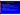$\blacktriangleright$ 

### Legislative Initiatives

#### **Energy Security Act (1980)**

- Established the Office of Alcohol Fuels in DOE
- Established the Synthetic Fuels Corporation
	- Eliminated by the Consolidated Omnibus Budget Reconciliation Act (1985)

#### **Energy Policy Act of 1992**

- Light duty alternative fuel vehicles in certain Federal Fleets
- Federal support for renewable energy technologies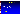### Legislative Initiative (continued)

- **Energy Policy Act of 2005** (P.L. 109-58)
	- Biofuel mandates increase from 4 bgy (2006) to 7.5 bgy (2012)
	- Requires EPA to promulgate regulations implementing a renewable fuel program. (§ 1501)
		- Specifies the total volume of renewable fuel used in gasoline sold
		- Specifies the total volume increases over time
		- $\triangleright$  Renewable Fuel Standard (RFS 1)
	- > Provides enhanced tax incentives for biofuel usage.
		- Energy Policy Tax Incentives (Title XIII)
		- Renewable diesel from "thermal depolymerization process"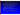### Legislative Initiatives (continued)

#### **Energy Independence & Security Act (EISA) (2007)**

- $\triangleright$  Requires EPA to develop a new RFS. (§ 202)
	- Expand biofuels to 36 billion gallons by 2022
	- Lifecycle GHG assessments of different fuel types and blends compared to petroleum fuel
- Ethanol pipeline feasibility study (§ 243)
- Biofuels distribution and advanced biofuels infrastructure (§ 248)
	- R&D on existing transportation fuel distribution infrastructure and new alternative distribution infrastructure.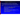### Legislative Initiatives (continued)

#### $\blacktriangleright$ **Energy Independence & Security Act (EISA) (2007)**

 Focus on the physical/chemical properties of biofuels and efforts to prevent or mitigate against adverse impacts of those properties in the areas:

- *corrosion* of metal, plastic, rubber, cork, fiberglass, glues, or any other material used in *pipes and storage tanks*;
- *dissolving of storage tank sediments;*
- **Example 2** clogging of filters;
- *contamination from water* or other adulterants or pollutants;
- poor flow properties related to low temperatures;
- *oxidative and thermal instability* in long-term storage and uses;
- *microbial contamination ;*
- problems associated with electrical conductivity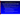### Legislative Initiatives (continued)

#### **Energy Improvement and Extension Act (EIEA) (2008)**

- Division A Emergency Economic Stabilization Act (2008)
- Division B EIEA *(P.L. 110-343)*
	- $\blacktriangleright$ Extends certain tax credits to December 31, 2010
	- $\blacktriangleright$  Broadens definitions for new conversion processes to qualify eligibility for tax credits
		- ➤ Expanded renewable diesel tax credits by removing the term "thermal depolymerization process"
		- $\blacktriangleright$ Replaced term "diesel fuel" with "liquid fuel"
		- ➤ Aviation fuels from renewable materials
	- Places limits on "Splash and Dash" (§ 203)
		- $\blacktriangleright$ "Splash and Dash" - 100% biodiesel shipped to U.S., 0.1%" petroleum diesel added (splash), and shipped to another country  $\overline{(\text{dash})}$ , thus qualifying for a tax credit.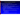Renewable Fuel Standard (RFS) 1 & 2

- 40 CFR part 80 Regulation of Fuels and Fuel Additives
- RFS 1 (EPAct 2005)
	- Federal Register on May 1, 2007 (72 FR 23900)
	- Assessed first order impacts including emissions, air quality, and GHG impacts of RFS standards
- RFS 2 (EISA) Under Development
	- Expand use of renewable fuels to 36 billion gallons per year (bgy) by 2022
	- Ethanol production from corn starch is capped at 15 bgy
	- $\triangleright$  Cellulosic Biofuel (renewable fuel from any cellulose, hemicellulose, lignin)
		- 0.5 billion gallons by 2012
		- 3 billion gallons by 2015
		- 16 billion gallons by 2022
	- Advanced Biofuels (biomass-based diesel, other biofuels)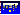### Biofuels Supply Chain





Ag Crops Ag Residues **Energy Crops** Forest Residues**Wastes** Algae



Harvesting & **Collecting Storage** Pre-

**Processing** 

**Transportation** 



**Fuel types Biochemical Conversion**

**Thermochemical Conversion**

**Biological Conversion**

**Chemical Conversion**





**Distribution by barge, truck, rail, pipeline**

**Storage in tanks**

**Dispensing**



*Transportation fuels* in light & heavy duty vehicles & trucks, Off - Road vehicles, Locomotives, Flight technologies, Boats/Ships

Power & Generators

Feedstocks for **Manufacturing**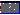### Feedstocks, Conversion Processes, and Fuel Types

| <b>Feedstock</b>                                                                                                    | <b>Conversion</b><br><b>Technology</b>                                                                                                                                                                                                                                                                                                                                          | <b>Products</b><br>and Uses                                                                                                                                |
|---------------------------------------------------------------------------------------------------------------------|---------------------------------------------------------------------------------------------------------------------------------------------------------------------------------------------------------------------------------------------------------------------------------------------------------------------------------------------------------------------------------|------------------------------------------------------------------------------------------------------------------------------------------------------------|
| <b>Agricultural Crops</b><br><b>Agricultural Residues</b><br><b>Animal Residues</b><br><b>Food Processing Waste</b> | <b>Thermo-chemical:</b><br><b>Fuel Types:</b><br><b>Pyrolysis</b><br><b>Ethanol</b><br>Hydrothermal<br><b>Biodiesel</b><br>Depolymerization<br><b>Renewable Diesel</b><br>$\equiv$<br>Gasification<br><b>Green Diesel</b><br>Combustion<br>н<br><b>Fuel Synthesis</b><br>FT Diesel & Gasoline<br>н<br><b>Higher Alcohols</b><br>ь<br><b>Biochemical:</b><br>Dimethyl Ether<br>ь |                                                                                                                                                            |
| <b>Woody Biomass</b><br>MSW and Construction and<br>Demolition (C&D)<br>Wastes                                      | <b>Fermentation</b><br>$\blacksquare$<br>Acid Hydrolysis<br>×.<br>Pretreatment & Enzymatic<br>Hydrolysis<br><b>Anaerobic Digestion</b><br>$\sim$<br><b>Chemical:</b><br>- Transesterification                                                                                                                                                                                   | Synthesis Gas,<br>н<br>Biogases, $& H_2$<br>Hydrogen<br>ä,<br><b>Other Products:</b><br>CHP (steam $&$ electricity)<br>٥<br><b>Chemical Feedstock</b><br>ь |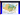#### *Ethanol Production (supply) – Coastal Consumers (demand)*



**Joint Agricultural Weather Facility**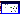#### Recent Ethanol Plant Locations



۰

 $\bullet$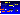# **DOCUMENT ARCHIVE** ⋖ 읎 n

#### Biofuels Integration Roadmap

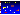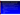### Denaturant (Ethanol) – Why & How Much

Alcohol and Tobacco Tax and Trade Bureau (TTB)

- Render alcohol unfit for human consumption
- $\triangleright$  Alcohol for fuel use is regulated under two categories in ATF regulations
	- Fuel alcohol produced at an alcohol fuel plant (AFP)
	- Completely denatured alcohol (CDA) formula no. 20 at a distilled spirits plant (DSP)
- At least 2 gallons of denaturant to every 100 gallons of fuel ethanol
	- Natural Gasoline
	- Conventional Unleaded Gasoline
	- Straight Run Gasoline
	- Naphtha
	- $\blacktriangleright$ Kerosene 15 and 15 and 15 and 15 and 15 and 15 and 15 and 15 and 15 and 15 and 15 and 15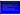### Denaturant (Ethanol) – Why & How Much

- Ethanol producers traditionally add  $\sim$  4.76 % (volume)
- ASTM Standards for fuel ethanol blends
	- ASTM D4806 08a Standard Specification for Denatured Fuel Ethanol for Blending with Gasoline for Use as Automotive Spark-Ignition Engine Fuel
- Food, Conservation, and Energy Act of 2008
	- $\blacktriangleright$ Calculation of volume of alcohol for fuel (§ 15332)
	- $\blacktriangleright$ Encourages 2% denaturant use to receive applicable tax credit
	- Internal Revenue Bulletin (IRB) 2009-3 (Notice 2009-6) (page 311)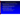#### Ethanol Plant Process Chemicals

#### **Ethanol production process (pH adjustment, nutrients)**

- Sulfuric Acid Corrosive
- Sodium Hydroxide (Caustic Soda) Corrosive
- Ammonia Source Anhydrous, Hydrous Corrosive
- **Cleaning chemicals keep fermentation clean**
	- Chlorine-based Solution Corrosive
	- Caustic Soda Corrosive
- **General water treatment chemicals**
	- Chlorine- or Bromine-based Solution Corrosive
	- Ammonia-related Solution Some Hazards
	- Surfactants Some hazards, typically mild

 $\blacktriangleright$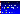

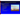#### **Biodiesel production process**

- Methanol
	- Volatile; Flammable (Class 3)
- Sodium Hydroxide (Caustic Soda)
	- Corrosive; Catalyst
- Potassium Hydroxide
	- Corrosive; Catalyst
- Sodium Methylate
	- Catalyst
- $\triangleright$  Hexane
	- Volatile; Flammable (Class 3)
- Glycerol (glycerine)

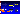#### Biofuels Integration into Infrastructure

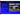### Biofuels Infrastructure

Infrastructure includes:

- ⋗  $\triangleright$  Pipelines, rail lines/railcars, barges/waterways, tank trucks
- ⋗ Terminals, Storage tanks, Blending facilities, Transfer hubs

**Ethanol and biodiesel currently do** not use many of the traditional petroleum products infrastructure (i.e., pipelines)

**Ethanol and biodiesel infrastructure** needs may be different



In 2005, rail: 60% of ethanol (approximately 2.9 billion gallons of ethanol), Tank trucks: 30%, and barges: 10%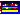#### Transport of Biofuels Through Pipelines

**Diesel FuelRegular Gasoline**Premium **Premium** Gasoline**GasolineRegular GasolineDiesel FuelRegular GasolineCurrent Multi-Products Pipeline Transmix**

#### **Potential Future Options for Biofuel Pipelines – Multi-products & Dedicated**

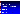#### Storage Tank & Pipeline Issues – Denatured Fuel Ethanol

- Survey suggests:
	- Number of leaks have occurred in equipment handling fuel ethanol due to cracking of the carbon steel
	- Number of cases of cracking and leaks have been reported in various types of equipment
		- Includes storage tanks, piping and associated handling equipment in the distribution systems for fuel ethanol,
- A concern for ethanol pipelines (similar grades of steel) Technical factors affecting storage and transportation of denatured fuel ethanol
	- Moisture
	- Material compatibility
- Ethanol can dissolve and carry impurities that are present inside storage tanks and multi-product pipeline systems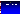### Storage Tank & Pipeline Issues - Ethanol

- $\triangleright$  Stress Corrosion Cracking (SCC) SCC is the formation of brittle cracks in a material that occurs as a result of corrosion processes and stress
- $\triangleright$  Factors that may lead to ethanol SCC
	- Fuel ethanol meeting the ASTM D4806 guidelines
	- Chloride and methanol content
		- Appear to increase susceptibility, but are not essential for SCC to occur
	- Dissolved oxygen content
	- ► Galvanic contact with corroded steel
	- Plate steels (e.g., ASTM A36)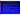#### Storage Tank & Pipeline Issues - Ethanol

- Cracks are typically branched and intergranular (low chloride ethanol), occasionally transgranular (high chloride or methanolcontaining ethanol)
- $\triangleright$  SCC has occurred in less than one year
- $\blacktriangleright$ Historical data suggests SCC appears at distribution terminals
- Tank liners, selective post-weld heat treatment, and the coating of internal critical zones may help
- API Technical Report 939-D Stress Corrosion Cracking of Carbon Steel in Fuel Grade Ethanol: Review, Experience Survey, Field Monitoring, and Laboratory Testing, Second Edition
- API Technical Report 939-E Identification, Repair, and Mitigation of Cracking of Steel Equipment in Fuel Ethanol Service, First Edition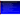#### Biodiesel Storage and Distribution Issues

#### Storage and Distribution Modes

- Tanker Truck / Rail car / Pipeline / Barge
	- Some terminals do not have rail spurs
	- Some terminals do not have water access
	- Currently biodiesel blends are not in the pipeline system
- Biodiesel systems are typically heated
	- Feedstock tanks and lines
	- Truck and rail off-loading system and lines
	- Loading rack lines, valves, and meters

 Blend system for 2 - 4 % biodiesel blend may be different than system needed for >5% system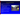### Transloading Biofuels

#### Federal and local jurisdictional issues

 Typical individual railcar capacity  $\triangleright$   $\sim$ 30,000 U.S. gallons Shipped in unit trains Can be as high as 100 railcars Transferred from rail cars to tank trucks for delivery to blending

terminals

 Transfer process equipment not necessary "fixed" in a single location

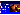#### Relevant Emergency Response Issues

 Fires and spills involving ethanol and ethanol/gasoline blends pose some complex challenges for emergency responders

 Ethanol is a polar/water-miscible flammable liquid (one that mixes readily with water)

> Degrades the effectiveness of fire fighting foams that are not alcohol resistant

 DOT Guide 127 - Flammable Liquids Polar/Water-miscible, 2004 Emergency Response Guidebook (ERG2004) 28

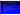#### Relevant Emergency Response Issues

- Alcohol-Resistant Aqueous Film Forming Foam (AR-AFFF)
	- Effective with ethanol blends from E10 through E95
	- E10 can be extinguished with AFFF and AR-AFFF but require higher application rates to prevent burn back
	- Passes a sprinkler application, which is typical of the fire suppression systems at many storage terminal loading racks
	- Creates a physical, polymer-membrane barrier between the foam blanket and fuel surface
	- Alcohol Resistant Film Forming Fluoroproteins (AR-FFFP)
		- **Burn back test**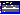### Ethanol/Gasoline blends and Placards

 DOT Federal Register notice (73 FR 4699) Published on January 28, 2008

| <b>Ethanol/Gasoline Blend</b>                                                                   | <b>Example of Shipping Name</b>                       |
|-------------------------------------------------------------------------------------------------|-------------------------------------------------------|
| Gasoline, with not more than<br>10% ethanol                                                     | Gasohol, UN1203 or Gasoline, UN1203                   |
| Gasoline/ethanol blends with<br>more than 10% ethanol                                           | Ethanol and Gasoline Mixture, UN3475                  |
| E85 $(85\%$ ethanol, 15% gasoline)                                                              | Ethanol and gasoline mixture, UN3475                  |
| Alcohol mixtures containing<br>up to $\frac{5\%}{2}$ gasoline<br>E95 (95% ethanol, 5% gasoline) | Denatured alcohol, NA1987<br>Alcohols, n.o.s., UN1987 |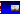$\blacktriangleright$ 

 $\blacktriangleright$ 

 $\blacktriangleright$ 

### Regulatory Implications

 Spill Prevention, Control, and Countermeasures Facility Response Plans Risk Management Plans Emergency Planning and Community Right to Know

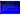$\blacktriangleright$ 

 $\blacktriangleright$ 

 $\blacktriangleright$ 

#### Biodiesel Feedstock Spill

- Properties similar to petroleum
	- Light non-aqueous phase liquid (LNAPL).
- Harmful effects: coating of feathers, fur, and gills
	- Absence of odor and sheen results in reduced avoidance.
	- Reduces thermal insulation and buoyancy.
- May burn if ignited
- May clog water treatment plants (due to the polymerization property).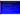$\blacktriangleright$ 

 $\blacktriangleright$ 

### Effects of Biodiesel Feedstock Spills

- High BOD may cause oxygen depletion
	- Greater effect on DO than petroleum oils
- Unsaturated oils (liquids at cold temperatures) are subject to (abiotic) oxidation
	- Polymerization due to chemical oxidation and cross-linking
	- Rancid odors may develop rapidly
	- Unsaturated oils form gum balls and varnishes in presence of oxygen, which resist biodegradation
	- Some saturated or unsaturated oils turn solid or semi-solid at cool temperatures, highly resistant to biodegradation
		- May be toxic or form toxic products
			- **Expecially free fatty acids and chemical oxidation products.**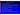## SPCC Applicability

- Addressed applicability of 40 CFR part 112 to non-petroleum oils
- $1975$  Federal Register Notice<br>  $\rightarrow$  Addressed applicability of 40 C<br>  $\rightarrow$  Re-affirmed that non-petroleum<br>
spill reporting and other require Re-affirmed that non-petroleum oils such as AFVOs are subject to oil spill reporting and other requirements under Section 311 of FWPCA
	- 2002 Revised SPCC rule amendments
		- $\triangleright$  Includes new subparts outlining the requirements for various classes of oil (pursuant to EORRA)
- 2006 Revised SPCC rule amendments
	- 2008 Revised SPCC rule amendments
		- $\blacktriangleright$  Establishes an alternative integrity testing option for AFVOs that are regulated under FDA (21 CFR part 110) and meet certain criteria

 $\blacktriangleright$ 

 $\blacktriangleright$ 

 $\blacktriangleright$ 

 $\blacktriangleright$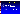### Biofuels & Facility Response Plans

 EPA (OSWER) letter to the Renewable Fuels Association on FRP applicability (November 07, 2006).

Ethanol denatured with oil (e.g., gasoline) is subject FRP

 Many existing and new biodiesel or ethanol plants may be subject to FRP requirements due to their storage capacity and potential for significant harm.

- A number of existing ethanol plants have a FRP
	- Total oil storage capacity (e.g., largest tank) greater than 1 million gallons

 Biodiesel plants are likely to require an FRP given large oil storage capacity (AFVO feedstocks *and* finished products)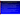#### Biofuels & Hazardous Chemical Reporting Section 311 & 312

#### Gasoline – 75,000 gallons

 At a retail gas station, stored entirely underground, in compliance at all time in the previous calendar year with UST requirements)

Gasohol (90% gasoline and 10% ethanol) – 75,000 gallons

 At a retail gas station, stored entirely underground, in compliance at all time in the previous calendar year with UST requirements)

#### Diesel – 100,000 gallons

 At a retail gas station, stored entirely underground, in compliance at all time in the previous calendar year with UST requirements)

All other Non-EHS hazardous chemicals – 10,000 lbs

 Alternative Fuels (Ethanol and Methanol mixtures; E85, E95, M95), aviation fuel, heating fuel, kerosene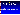#### **Summary**

- Requires EPA to develop a new Renewable Fuel Standard.
	- Expand biofuels to 36 billion gallons by 2022.
- Lifecycle GHG assessement

New generation, storage, and distribution infrastructure challenges

- Integrating biofuels into traditional fuel supply chain
- $\blacktriangleright$ Infrastructure needs

Expect energy legislation mandates biofuel usage.<br>
→ Requires EPA to develop a new Renewable Fuel St<br>
→ Expand biofuels to 36 billion gallons by 2022.<br>
→ Lifecycle GHG assessement<br>
→ New generation, storage, and distribut Fires and spills involving ethanol and ethanol/gasoline blends pose some complex challenges for emergency responders Current biofuels: Ethanol and biodiesel; Future biofuels: ?